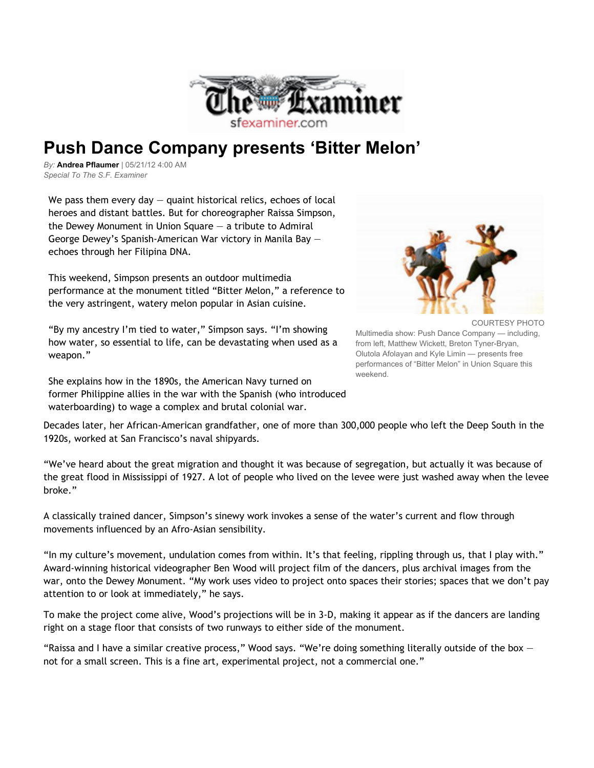

## **Push Dance Company presents 'Bitter Melon'**

*By:* **Andrea Pflaumer** | 05/21/12 4:00 AM *Special To The S.F. Examiner*

We pass them every day  $-$  quaint historical relics, echoes of local heroes and distant battles. But for choreographer Raissa Simpson, the Dewey Monument in Union Square  $-$  a tribute to Admiral George Dewey's Spanish-American War victory in Manila Bay echoes through her Filipina DNA.

This weekend, Simpson presents an outdoor multimedia performance at the monument titled "Bitter Melon," a reference to the very astringent, watery melon popular in Asian cuisine.

"By my ancestry I'm tied to water," Simpson says. "I'm showing how water, so essential to life, can be devastating when used as a weapon."

She explains how in the 1890s, the American Navy turned on former Philippine allies in the war with the Spanish (who introduced waterboarding) to wage a complex and brutal colonial war.



COURTESY PHOTO Multimedia show: Push Dance Company — including, from left, Matthew Wickett, Breton Tyner-Bryan, Olutola Afolayan and Kyle Limin — presents free performances of "Bitter Melon" in Union Square this weekend.

Decades later, her African-American grandfather, one of more than 300,000 people who left the Deep South in the 1920s, worked at San Francisco's naval shipyards.

"We've heard about the great migration and thought it was because of segregation, but actually it was because of the great flood in Mississippi of 1927. A lot of people who lived on the levee were just washed away when the levee broke."

A classically trained dancer, Simpson's sinewy work invokes a sense of the water's current and flow through movements influenced by an Afro-Asian sensibility.

"In my culture's movement, undulation comes from within. It's that feeling, rippling through us, that I play with." Award-winning historical videographer Ben Wood will project film of the dancers, plus archival images from the war, onto the Dewey Monument. "My work uses video to project onto spaces their stories; spaces that we don't pay attention to or look at immediately," he says.

To make the project come alive, Wood's projections will be in 3-D, making it appear as if the dancers are landing right on a stage floor that consists of two runways to either side of the monument.

"Raissa and I have a similar creative process," Wood says. "We're doing something literally outside of the box  $$ not for a small screen. This is a fine art, experimental project, not a commercial one."